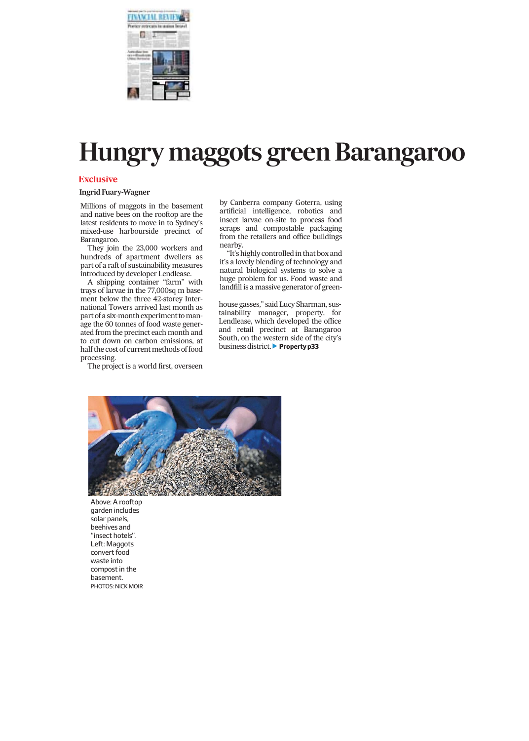

## *Hungry maggots green Barangaroo*

### **Exclusive**

### **Ingrid Fuary-Wagner**

*Millions of maggots in the basement and native bees on the rooftop are the latest residents to move in to Sydney's mixed-use harbourside precinct of Barangaroo.*

*They join the 23,000 workers and hundreds of apartment dwellers as part of a raft of sustainability measures introduced by developer Lendlease.*

*A shipping container ''farm'' with trays of larvae in the 77,000sq m basement below the three 42-storey International Towers arrived last month as part of a six-month experiment tomanage the 60 tonnes of food waste generated from the precinct each month and to cut down on carbon emissions, at half the cost of currentmethods of food processing.*

*The project is a world first, overseen*

*by Canberra company Goterra, using artificial intelligence, robotics and insect larvae on-site to process food scraps and compostable packaging from the retailers and office buildings nearby.*

*''It's highly controlled in that box and it's a lovely blending of technology and natural biological systems to solve a huge problem for us. Food waste and landfill is a massive generator of green-*

*house gasses,'' said Lucy Sharman, sustainability manager, property, for Lendlease, which developed the office and retail precinct at Barangaroo South, on the western side of the city's* business district. **Property p33** 



Above: A rooftop garden includes solar panels, beehives and ''insect hotels''. Left: Maggots convert food waste into compost in the basement. PHOTOS: NICK MOIR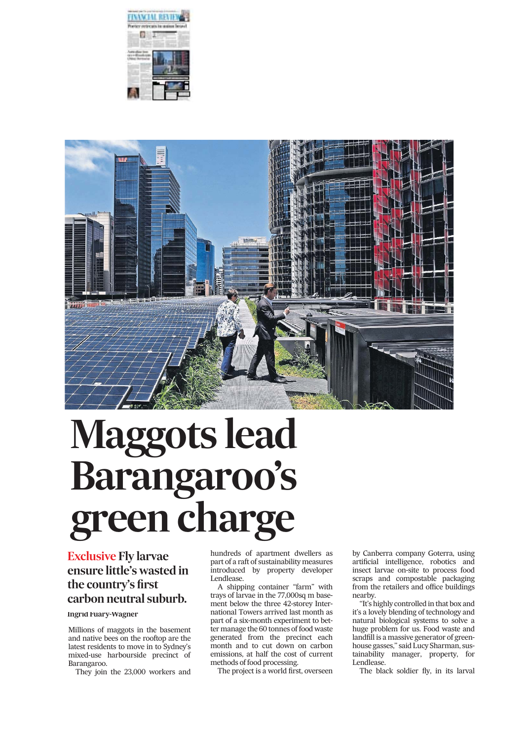



# *Maggots lead Barangaroo's green charge*

### *Exclusive Fly larvae ensure little's wasted in the country's first carbon neutral suburb.*

### **Ingrid Fuary-Wagner**

*Millions of maggots in the basement and native bees on the rooftop are the latest residents to move in to Sydney's mixed-use harbourside precinct of Barangaroo.*

*They join the 23,000 workers and*

*hundreds of apartment dwellers as part of a raft of sustainability measures introduced by property developer Lendlease.*

*A shipping container ''farm'' with trays of larvae in the 77,000sq m basement below the three 42-storey International Towers arrived last month as part of a six-month experiment to better manage the 60 tonnes of food waste generated from the precinct each month and to cut down on carbon emissions, at half the cost of current methods of food processing.*

*The project is a world first, overseen*

*by Canberra company Goterra, using artificial intelligence, robotics and insect larvae on-site to process food scraps and compostable packaging from the retailers and office buildings nearby.*

*''It's highly controlled in that box and it's a lovely blending of technology and natural biological systems to solve a huge problem for us. Food waste and landfill is a massive generator of greenhouse gasses,'' said Lucy Sharman, sustainability manager, property, for Lendlease.*

*The black soldier fly, in its larval*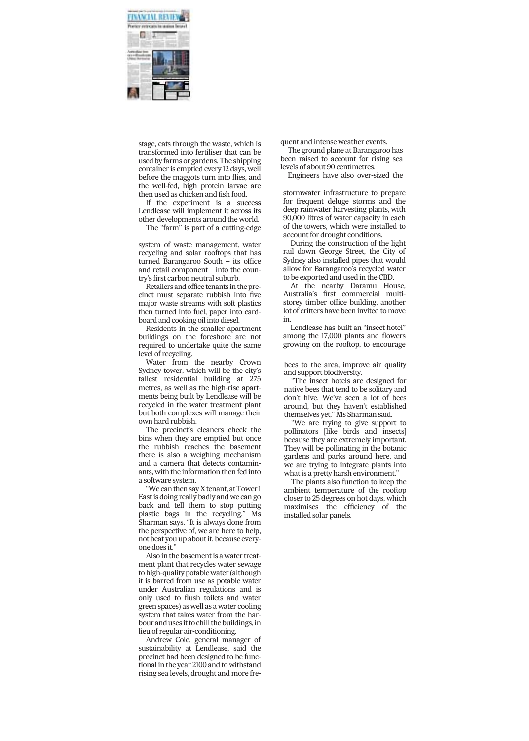

*stage, eats through the waste, which is transformed into fertiliser that can be used by farms or gardens. The shipping container is emptied every 12 days, well before the maggots turn into flies, and the well-fed, high protein larvae are then used as chicken and fish food.*

*If the experiment is a success Lendlease will implement it across its other developments around the world.*

*The ''farm'' is part of a cutting-edge*

*system of waste management, water recycling and solar rooftops that has turned Barangaroo South – its office and retail component – into the country's first carbon neutral suburb.*

*Retailers and office tenants in the precinct must separate rubbish into five major waste streams with soft plastics then turned into fuel, paper into cardboard and cooking oil into diesel.*

*Residents in the smaller apartment buildings on the foreshore are not required to undertake quite the same level of recycling.*

*Water from the nearby Crown Sydney tower, which will be the city's tallest residential building at 275 metres, as well as the high-rise apartments being built by Lendlease will be recycled in the water treatment plant but both complexes will manage their own hard rubbish.*

*The precinct's cleaners check the bins when they are emptied but once the rubbish reaches the basement there is also a weighing mechanism and a camera that detects contaminants, with the information then fed into a software system.*

*''We can then sayX tenant, at Tower 1 East is doing really badly and we can go back and tell them to stop putting plastic bags in the recycling,'' Ms Sharman says. ''It is always done from the perspective of, we are here to help, not beat you up about it, because everyone does it.''*

*Also in the basement is a water treatment plant that recycles water sewage to high-quality potable water (although it is barred from use as potable water under Australian regulations and is only used to flush toilets and water green spaces) as well as a water cooling system that takes water from the harbour and uses it to chill the buildings, in lieu of regular air-conditioning.*

*Andrew Cole, general manager of sustainability at Lendlease, said the precinct had been designed to be functional in the year 2100 and to withstand rising sea levels, drought and more fre-* *quent and intense weather events.*

*The ground plane at Barangaroo has been raised to account for rising sea levels of about 90 centimetres.*

*Engineers have also over-sized the*

*stormwater infrastructure to prepare for frequent deluge storms and the deep rainwater harvesting plants, with 90,000 litres of water capacity in each of the towers, which were installed to account for drought conditions.*

*During the construction of the light rail down George Street, the City of Sydney also installed pipes that would allow for Barangaroo's recycled water to be exported and used in the CBD.*

*At the nearby Daramu House, Australia's first commercial multistorey timber office building, another lot of critters have been invited tomove in.*

*Lendlease has built an ''insect hotel'' among the 17,000 plants and flowers growing on the rooftop, to encourage*

*bees to the area, improve air quality and support biodiversity.*

*''The insect hotels are designed for native bees that tend to be solitary and don't hive. We've seen a lot of bees around, but they haven't established themselves yet,'' Ms Sharman said.*

*''We are trying to give support to pollinators [like birds and insects] because they are extremely important. They will be pollinating in the botanic gardens and parks around here, and we are trying to integrate plants into what is a pretty harsh environment.''*

*The plants also function to keep the ambient temperature of the rooftop closer to 25 degrees on hot days, which maximises the efficiency of the installed solar panels.*